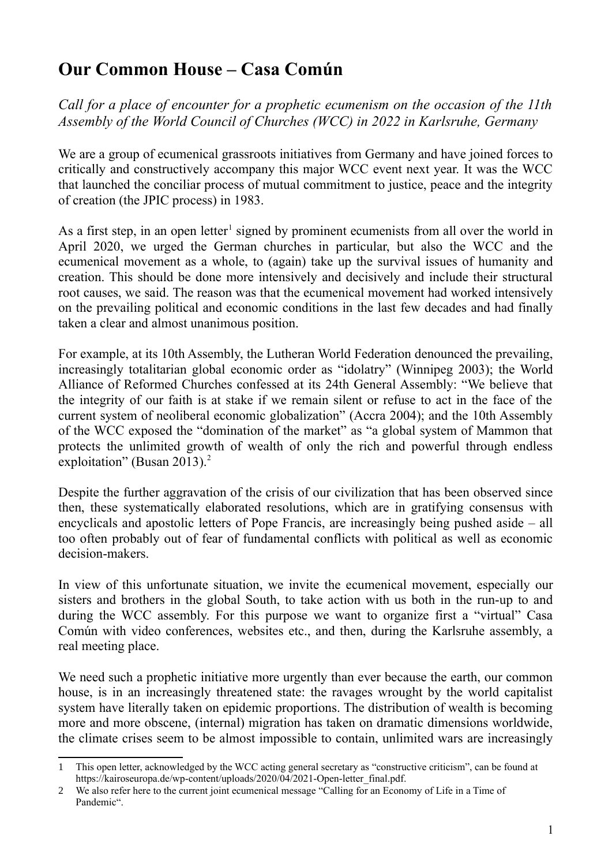## **Our Common House – Casa Común**

*Call for a place of encounter for a prophetic ecumenism on the occasion of the 11th Assembly of the World Council of Churches (WCC) in 2022 in Karlsruhe, Germany*

We are a group of ecumenical grassroots initiatives from Germany and have joined forces to critically and constructively accompany this major WCC event next year. It was the WCC that launched the conciliar process of mutual commitment to justice, peace and the integrity of creation (the JPIC process) in 1983.

As a first step, in an open letter<sup>[1](#page-0-0)</sup> signed by prominent ecumenists from all over the world in April 2020, we urged the German churches in particular, but also the WCC and the ecumenical movement as a whole, to (again) take up the survival issues of humanity and creation. This should be done more intensively and decisively and include their structural root causes, we said. The reason was that the ecumenical movement had worked intensively on the prevailing political and economic conditions in the last few decades and had finally taken a clear and almost unanimous position.

For example, at its 10th Assembly, the Lutheran World Federation denounced the prevailing, increasingly totalitarian global economic order as "idolatry" (Winnipeg 2003); the World Alliance of Reformed Churches confessed at its 24th General Assembly: "We believe that the integrity of our faith is at stake if we remain silent or refuse to act in the face of the current system of neoliberal economic globalization" (Accra 2004); and the 10th Assembly of the WCC exposed the "domination of the market" as "a global system of Mammon that protects the unlimited growth of wealth of only the rich and powerful through endless exploitation" (Busan [2](#page-0-1)013).<sup>2</sup>

Despite the further aggravation of the crisis of our civilization that has been observed since then, these systematically elaborated resolutions, which are in gratifying consensus with encyclicals and apostolic letters of Pope Francis, are increasingly being pushed aside – all too often probably out of fear of fundamental conflicts with political as well as economic decision-makers.

In view of this unfortunate situation, we invite the ecumenical movement, especially our sisters and brothers in the global South, to take action with us both in the run-up to and during the WCC assembly. For this purpose we want to organize first a "virtual" Casa Común with video conferences, websites etc., and then, during the Karlsruhe assembly, a real meeting place.

We need such a prophetic initiative more urgently than ever because the earth, our common house, is in an increasingly threatened state: the ravages wrought by the world capitalist system have literally taken on epidemic proportions. The distribution of wealth is becoming more and more obscene, (internal) migration has taken on dramatic dimensions worldwide, the climate crises seem to be almost impossible to contain, unlimited wars are increasingly

<span id="page-0-0"></span><sup>1</sup> This open letter, acknowledged by the WCC acting general secretary as "constructive criticism", can be found at https://kairoseuropa.de/wp-content/uploads/2020/04/2021-Open-letter\_final.pdf.

<span id="page-0-1"></span><sup>2</sup> We also refer here to the current joint ecumenical message "Calling for an Economy of Life in a Time of Pandemic".